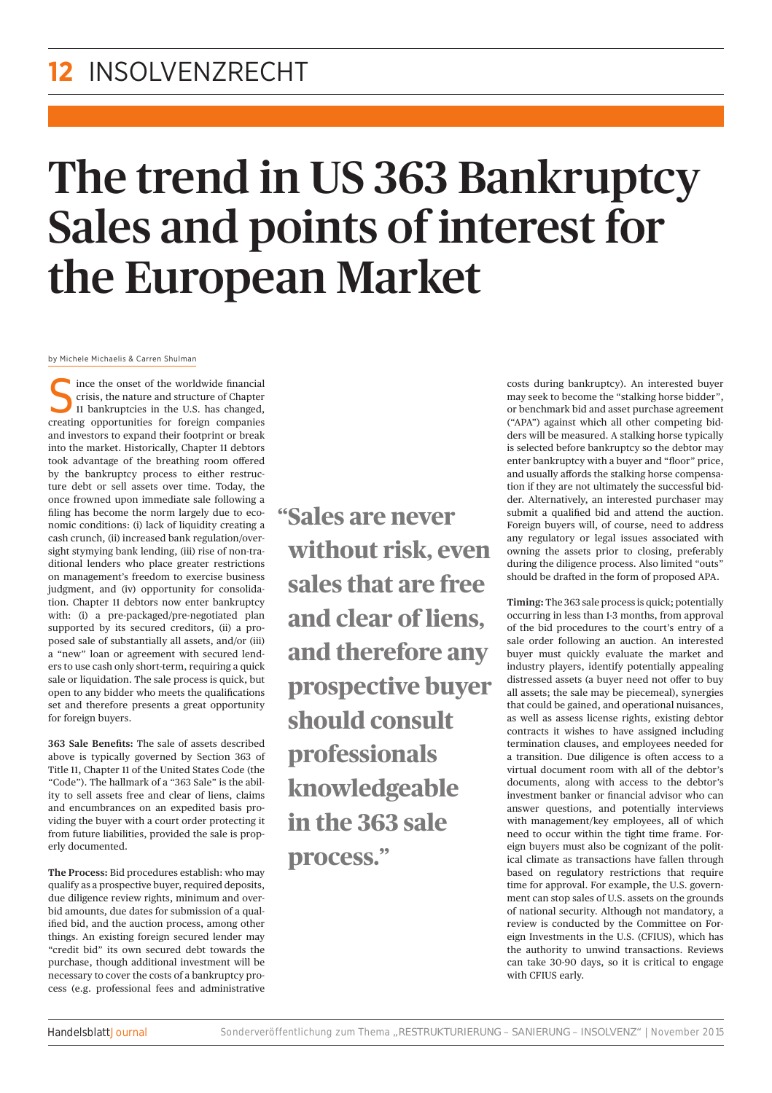## The trend in US 363 Bankruptcy Sales and points of interest for the European Market

by Michele Michaelis & Carren Shulman

 $\blacksquare$  ince the onset of the worldwide financial crisis, the nature and structure of Chapter 11 bankruptcies in the U.S. has changed, creating opportunities for foreign companies and investors to expand their footprint or break into the market. Historically, Chapter 11 debtors took advantage of the breathing room offered by the bankruptcy process to either restructure debt or sell assets over time. Today, the once frowned upon immediate sale following a filing has become the norm largely due to economic conditions: (i) lack of liquidity creating a cash crunch, (ii) increased bank regulation/oversight stymying bank lending, (iii) rise of non-traditional lenders who place greater restrictions on management's freedom to exercise business judgment, and (iv) opportunity for consolidation. Chapter 11 debtors now enter bankruptcy with: (i) a pre-packaged/pre-negotiated plan supported by its secured creditors, (ii) a proposed sale of substantially all assets, and/or (iii) a "new" loan or agreement with secured lenders to use cash only short-term, requiring a quick sale or liquidation. The sale process is quick, but open to any bidder who meets the qualifications set and therefore presents a great opportunity for foreign buyers.

**363 Sale Benefits:** The sale of assets described above is typically governed by Section 363 of Title 11, Chapter 11 of the United States Code (the "Code"). The hallmark of a "363 Sale" is the ability to sell assets free and clear of liens, claims and encumbrances on an expedited basis providing the buyer with a court order protecting it from future liabilities, provided the sale is properly documented.

**The Process:** Bid procedures establish: who may qualify as a prospective buyer, required deposits, due diligence review rights, minimum and overbid amounts, due dates for submission of a qualified bid, and the auction process, among other things. An existing foreign secured lender may "credit bid" its own secured debt towards the purchase, though additional investment will be necessary to cover the costs of a bankruptcy process (e.g. professional fees and administrative

**"Sales are never without risk, even sales that are free and clear of liens, and therefore any prospective buyer should consult professionals knowledgeable in the 363 sale process."**

costs during bankruptcy). An interested buyer may seek to become the "stalking horse bidder", or benchmark bid and asset purchase agreement ("APA") against which all other competing bidders will be measured. A stalking horse typically is selected before bankruptcy so the debtor may enter bankruptcy with a buyer and "floor" price, and usually affords the stalking horse compensation if they are not ultimately the successful bidder. Alternatively, an interested purchaser may submit a qualified bid and attend the auction. Foreign buyers will, of course, need to address any regulatory or legal issues associated with owning the assets prior to closing, preferably during the diligence process. Also limited "outs" should be drafted in the form of proposed APA.

**Timing:** The 363 sale process is quick; potentially occurring in less than 1-3 months, from approval of the bid procedures to the court's entry of a sale order following an auction. An interested buyer must quickly evaluate the market and industry players, identify potentially appealing distressed assets (a buyer need not offer to buy all assets; the sale may be piecemeal), synergies that could be gained, and operational nuisances, as well as assess license rights, existing debtor contracts it wishes to have assigned including termination clauses, and employees needed for a transition. Due diligence is often access to a virtual document room with all of the debtor's documents, along with access to the debtor's investment banker or financial advisor who can answer questions, and potentially interviews with management/key employees, all of which need to occur within the tight time frame. Foreign buyers must also be cognizant of the political climate as transactions have fallen through based on regulatory restrictions that require time for approval. For example, the U.S. government can stop sales of U.S. assets on the grounds of national security. Although not mandatory, a review is conducted by the Committee on Foreign Investments in the U.S. (CFIUS), which has the authority to unwind transactions. Reviews can take 30-90 days, so it is critical to engage with CFIUS early.